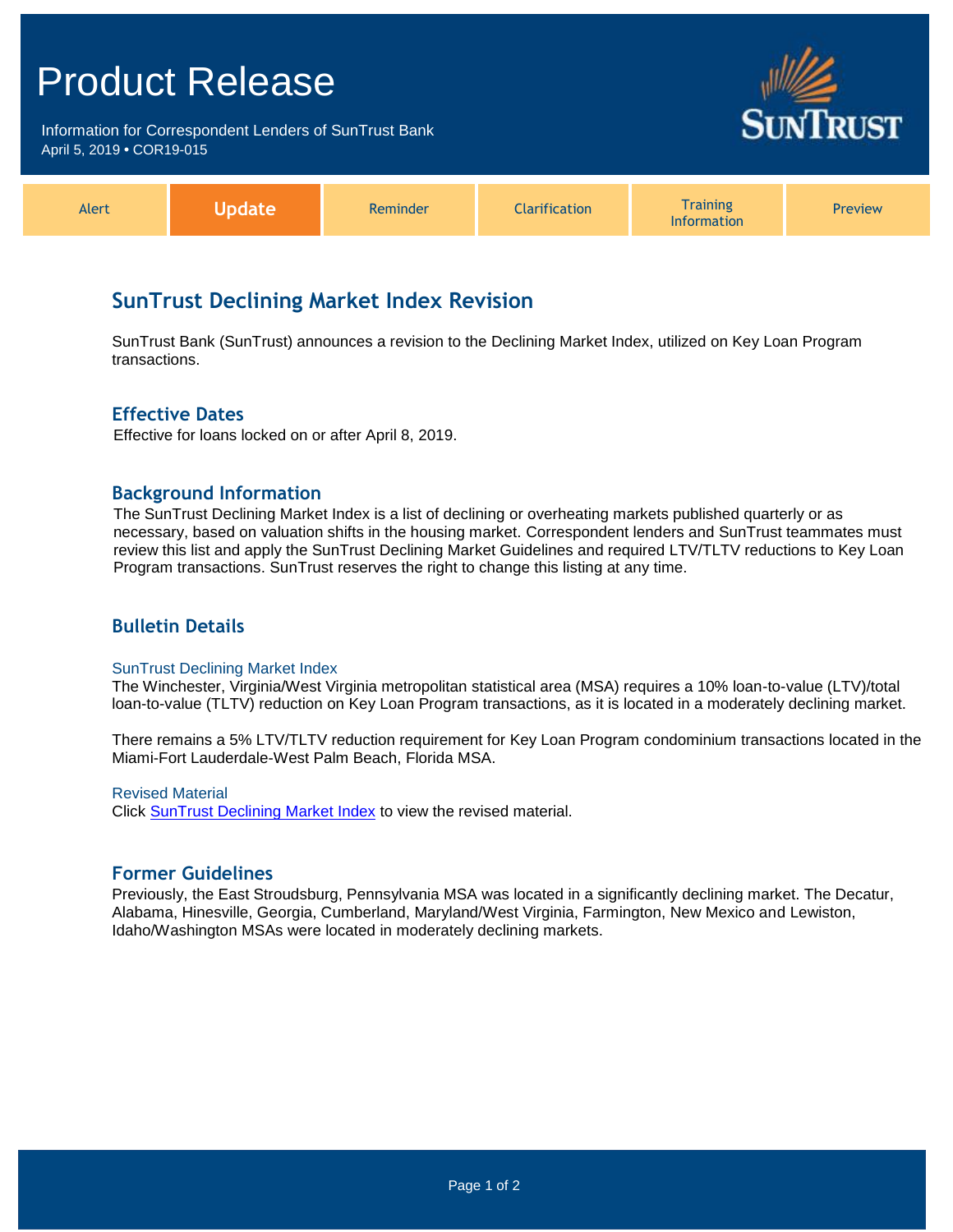# Product Release

Information for Correspondent Lenders of SunTrust Bank April 5, 2019 **•** COR19-015



| Alert |  | eminder | $-1$<br>ation | Training<br>nation | Preview |
|-------|--|---------|---------------|--------------------|---------|
|-------|--|---------|---------------|--------------------|---------|

# **SunTrust Declining Market Index Revision**

SunTrust Bank (SunTrust) announces a revision to the Declining Market Index, utilized on Key Loan Program transactions.

# **Effective Dates**

Effective for loans locked on or after April 8, 2019.

# **Background Information**

The SunTrust Declining Market Index is a list of declining or overheating markets published quarterly or as necessary, based on valuation shifts in the housing market. Correspondent lenders and SunTrust teammates must review this list and apply the SunTrust Declining Market Guidelines and required LTV/TLTV reductions to Key Loan Program transactions. SunTrust reserves the right to change this listing at any time.

# **Bulletin Details**

#### SunTrust Declining Market Index

The Winchester, Virginia/West Virginia metropolitan statistical area (MSA) requires a 10% loan-to-value (LTV)/total loan-to-value (TLTV) reduction on Key Loan Program transactions, as it is located in a moderately declining market.

There remains a 5% LTV/TLTV reduction requirement for Key Loan Program condominium transactions located in the Miami-Fort Lauderdale-West Palm Beach, Florida MSA.

#### Revised Material

Click **SunTrust Declining Market Index** to view the revised material.

# **Former Guidelines**

Previously, the East Stroudsburg, Pennsylvania MSA was located in a significantly declining market. The Decatur, Alabama, Hinesville, Georgia, Cumberland, Maryland/West Virginia, Farmington, New Mexico and Lewiston, Idaho/Washington MSAs were located in moderately declining markets.